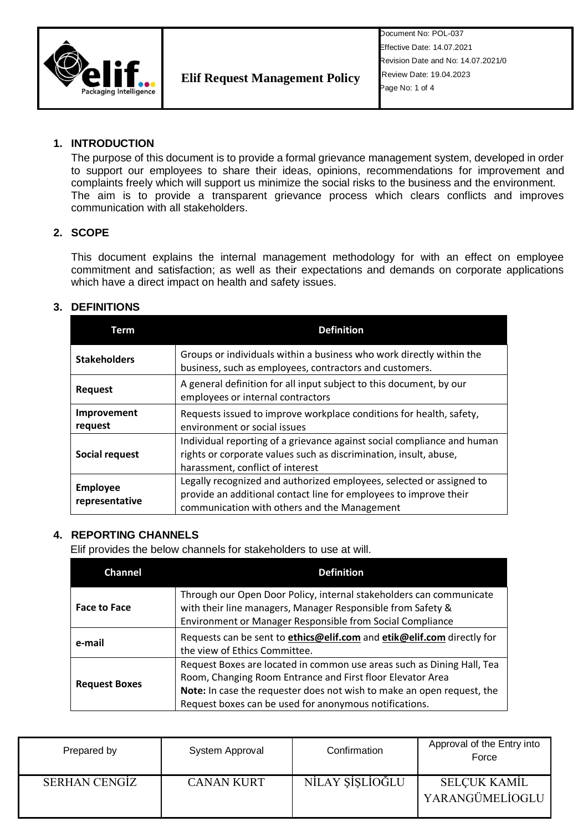

Document No: POL-037 Effective Date: 14.07.2021 Revision Date and No: 14.07.2021/0 Review Date: 19.04.2023 Page No: 1 of 4

## **1. INTRODUCTION**

The purpose of this document is to provide a formal grievance management system, developed in order to support our employees to share their ideas, opinions, recommendations for improvement and complaints freely which will support us minimize the social risks to the business and the environment. The aim is to provide a transparent grievance process which clears conflicts and improves communication with all stakeholders.

### **2. SCOPE**

This document explains the internal management methodology for with an effect on employee commitment and satisfaction; as well as their expectations and demands on corporate applications which have a direct impact on health and safety issues.

### **3. DEFINITIONS**

| Term                              | <b>Definition</b>                                                                                                                                                                         |
|-----------------------------------|-------------------------------------------------------------------------------------------------------------------------------------------------------------------------------------------|
| <b>Stakeholders</b>               | Groups or individuals within a business who work directly within the<br>business, such as employees, contractors and customers.                                                           |
| <b>Request</b>                    | A general definition for all input subject to this document, by our<br>employees or internal contractors                                                                                  |
| Improvement<br>request            | Requests issued to improve workplace conditions for health, safety,<br>environment or social issues                                                                                       |
| Social request                    | Individual reporting of a grievance against social compliance and human<br>rights or corporate values such as discrimination, insult, abuse,<br>harassment, conflict of interest          |
| <b>Employee</b><br>representative | Legally recognized and authorized employees, selected or assigned to<br>provide an additional contact line for employees to improve their<br>communication with others and the Management |

### **4. REPORTING CHANNELS**

Elif provides the below channels for stakeholders to use at will.

| <b>Channel</b>       | <b>Definition</b>                                                                                                                                                                                                                                                        |  |
|----------------------|--------------------------------------------------------------------------------------------------------------------------------------------------------------------------------------------------------------------------------------------------------------------------|--|
| <b>Face to Face</b>  | Through our Open Door Policy, internal stakeholders can communicate<br>with their line managers, Manager Responsible from Safety &<br>Environment or Manager Responsible from Social Compliance                                                                          |  |
| e-mail               | Requests can be sent to ethics@elif.com and etik@elif.com directly for<br>the view of Ethics Committee.                                                                                                                                                                  |  |
| <b>Request Boxes</b> | Request Boxes are located in common use areas such as Dining Hall, Tea<br>Room, Changing Room Entrance and First floor Elevator Area<br>Note: In case the requester does not wish to make an open request, the<br>Request boxes can be used for anonymous notifications. |  |

| Prepared by          | System Approval   | Confirmation    | Approval of the Entry into<br>Force    |
|----------------------|-------------------|-----------------|----------------------------------------|
| <b>SERHAN CENGIZ</b> | <b>CANAN KURT</b> | NİLAY SİSLİOĞLU | <b>SELCUK KAMIL</b><br>YARANGÜMELİOGLU |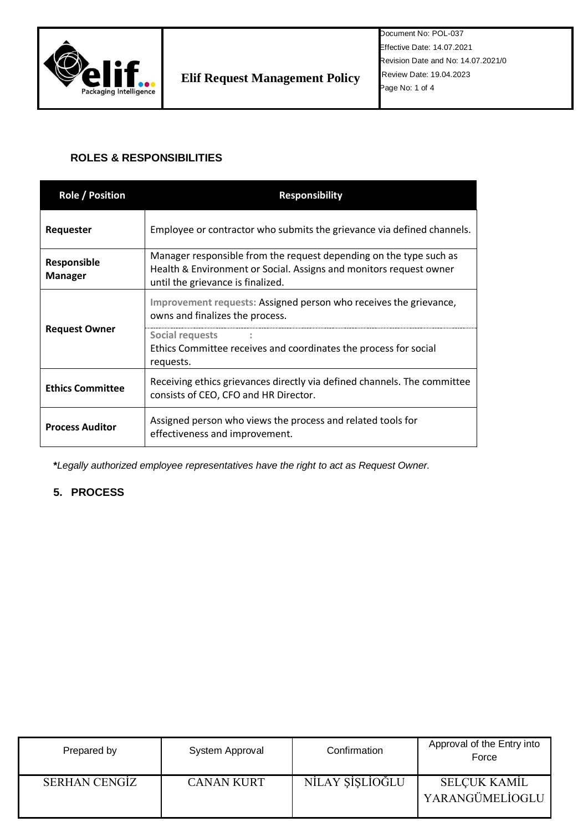

# **ROLES & RESPONSIBILITIES**

| <b>Role / Position</b>               | <b>Responsibility</b>                                                                                                                                                         |  |  |
|--------------------------------------|-------------------------------------------------------------------------------------------------------------------------------------------------------------------------------|--|--|
| Requester                            | Employee or contractor who submits the grievance via defined channels.                                                                                                        |  |  |
| <b>Responsible</b><br><b>Manager</b> | Manager responsible from the request depending on the type such as<br>Health & Environment or Social. Assigns and monitors request owner<br>until the grievance is finalized. |  |  |
| <b>Request Owner</b>                 | Improvement requests: Assigned person who receives the grievance,<br>owns and finalizes the process.                                                                          |  |  |
|                                      | Social requests<br>Ethics Committee receives and coordinates the process for social<br>requests.                                                                              |  |  |
| <b>Ethics Committee</b>              | Receiving ethics grievances directly via defined channels. The committee<br>consists of CEO, CFO and HR Director.                                                             |  |  |
| <b>Process Auditor</b>               | Assigned person who views the process and related tools for<br>effectiveness and improvement.                                                                                 |  |  |

**\****Legally authorized employee representatives have the right to act as Request Owner.*

# **5. PROCESS**

| Prepared by   | System Approval   | Confirmation    | Approval of the Entry into<br>Force    |
|---------------|-------------------|-----------------|----------------------------------------|
| SERHAN CENGIZ | <b>CANAN KURT</b> | NİLAY ŞİŞLİOĞLU | <b>SELCUK KAMIL</b><br>YARANGÜMELİOGLU |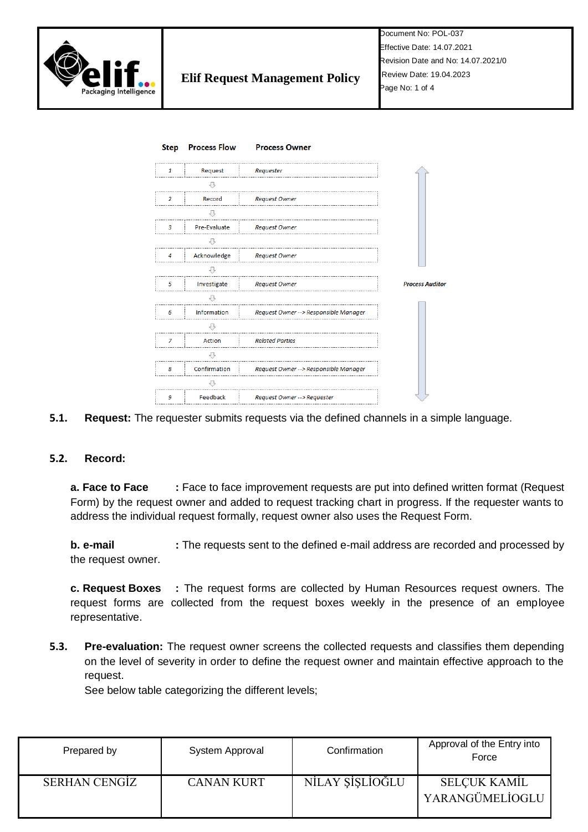



### **5.1. Request:** The requester submits requests via the defined channels in a simple language.

### **5.2. Record:**

**a. Face to Face :** Face to face improvement requests are put into defined written format (Request Form) by the request owner and added to request tracking chart in progress. If the requester wants to address the individual request formally, request owner also uses the Request Form.

**b. e-mail :** The requests sent to the defined e-mail address are recorded and processed by the request owner.

**c. Request Boxes :** The request forms are collected by Human Resources request owners. The request forms are collected from the request boxes weekly in the presence of an employee representative.

**5.3. Pre-evaluation:** The request owner screens the collected requests and classifies them depending on the level of severity in order to define the request owner and maintain effective approach to the request.

See below table categorizing the different levels;

| Prepared by          | System Approval   | Confirmation    | Approval of the Entry into<br>Force    |
|----------------------|-------------------|-----------------|----------------------------------------|
| <b>SERHAN CENGIZ</b> | <b>CANAN KURT</b> | NİLAY ŞİŞLİOĞLU | <b>SELCUK KAMIL</b><br>YARANGÜMELİOGLU |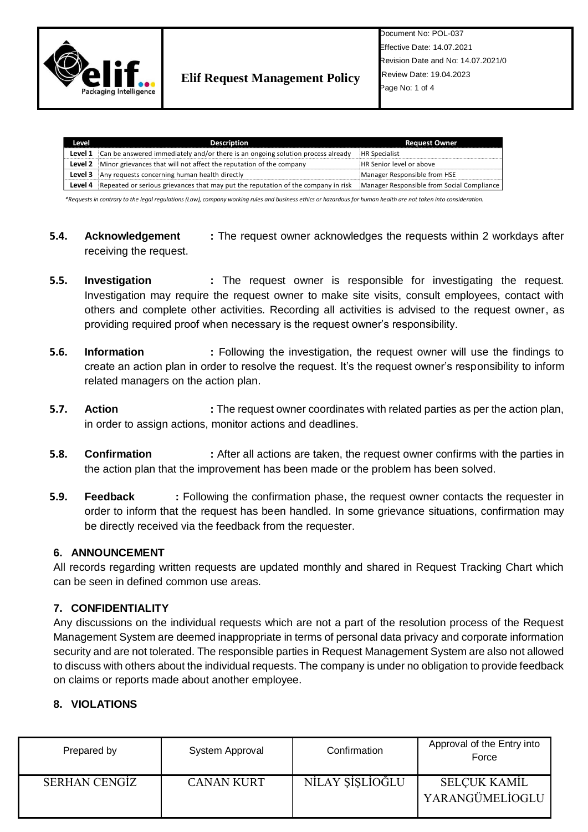

| Level | <b>Description</b>                                                                             | <b>Request Owner</b>                       |
|-------|------------------------------------------------------------------------------------------------|--------------------------------------------|
|       | <b>Level 1</b> Can be answered immediately and/or there is an ongoing solution process already | <b>HR Specialist</b>                       |
|       | <b>Level 2</b> Minor grievances that will not affect the reputation of the company             | HR Senior level or above                   |
|       | <b>Level 3</b> Any requests concerning human health directly                                   | Manager Responsible from HSE               |
|       | Level 4 Repeated or serious grievances that may put the reputation of the company in risk      | Manager Responsible from Social Compliance |

*\*Requests in contrary to the legal regulations (Law), company working rules and business ethics or hazardous for human health are not taken into consideration.*

- **5.4. Acknowledgement :** The request owner acknowledges the requests within 2 workdays after receiving the request.
- **5.5. Investigation :** The request owner is responsible for investigating the request. Investigation may require the request owner to make site visits, consult employees, contact with others and complete other activities. Recording all activities is advised to the request owner, as providing required proof when necessary is the request owner's responsibility.
- **5.6. Information :** Following the investigation, the request owner will use the findings to create an action plan in order to resolve the request. It's the request owner's responsibility to inform related managers on the action plan.
- **5.7. Action :** The request owner coordinates with related parties as per the action plan, in order to assign actions, monitor actions and deadlines.
- **5.8. Confirmation :** After all actions are taken, the request owner confirms with the parties in the action plan that the improvement has been made or the problem has been solved.
- **5.9. Feedback** : Following the confirmation phase, the request owner contacts the requester in order to inform that the request has been handled. In some grievance situations, confirmation may be directly received via the feedback from the requester.

### **6. ANNOUNCEMENT**

All records regarding written requests are updated monthly and shared in Request Tracking Chart which can be seen in defined common use areas.

# **7. CONFIDENTIALITY**

Any discussions on the individual requests which are not a part of the resolution process of the Request Management System are deemed inappropriate in terms of personal data privacy and corporate information security and are not tolerated. The responsible parties in Request Management System are also not allowed to discuss with others about the individual requests. The company is under no obligation to provide feedback on claims or reports made about another employee.

# **8. VIOLATIONS**

| Prepared by   | System Approval   | Confirmation    | Approval of the Entry into<br>Force    |
|---------------|-------------------|-----------------|----------------------------------------|
| SERHAN CENGIZ | <b>CANAN KURT</b> | NİLAY ŞİŞLİOĞLU | <b>SELCUK KAMIL</b><br>YARANGÜMELİOGLU |